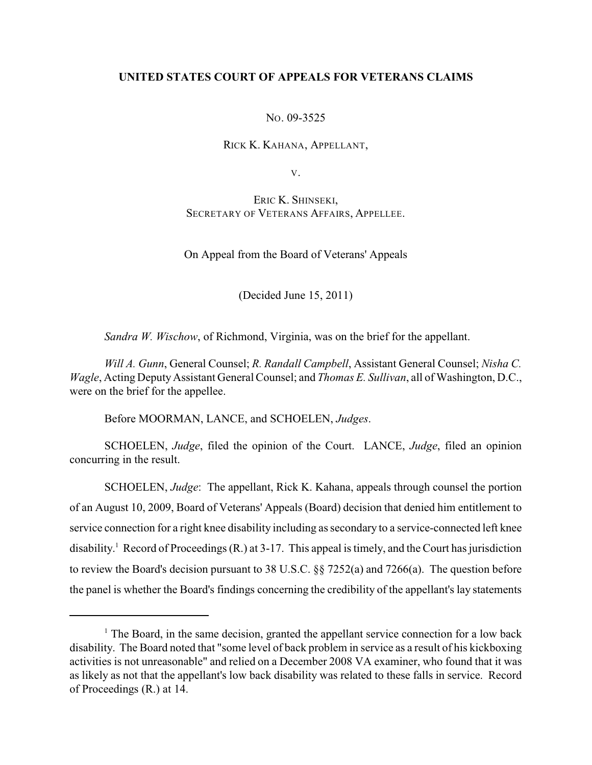# **UNITED STATES COURT OF APPEALS FOR VETERANS CLAIMS**

NO. 09-3525

RICK K. KAHANA, APPELLANT,

V.

ERIC K. SHINSEKI, SECRETARY OF VETERANS AFFAIRS, APPELLEE.

On Appeal from the Board of Veterans' Appeals

(Decided June 15, 2011)

*Sandra W. Wischow*, of Richmond, Virginia, was on the brief for the appellant.

*Will A. Gunn*, General Counsel; *R. Randall Campbell*, Assistant General Counsel; *Nisha C. Wagle*, Acting Deputy Assistant General Counsel; and *Thomas E. Sullivan*, all of Washington, D.C., were on the brief for the appellee.

Before MOORMAN, LANCE, and SCHOELEN, *Judges*.

SCHOELEN, *Judge*, filed the opinion of the Court. LANCE, *Judge*, filed an opinion concurring in the result.

SCHOELEN, *Judge*: The appellant, Rick K. Kahana, appeals through counsel the portion of an August 10, 2009, Board of Veterans' Appeals (Board) decision that denied him entitlement to service connection for a right knee disability including as secondary to a service-connected left knee disability.<sup>1</sup> Record of Proceedings  $(R)$ , at 3-17. This appeal is timely, and the Court has jurisdiction to review the Board's decision pursuant to 38 U.S.C. §§ 7252(a) and 7266(a). The question before the panel is whether the Board's findings concerning the credibility of the appellant's lay statements

 $<sup>1</sup>$  The Board, in the same decision, granted the appellant service connection for a low back</sup> disability. The Board noted that "some level of back problem in service as a result of his kickboxing activities is not unreasonable" and relied on a December 2008 VA examiner, who found that it was as likely as not that the appellant's low back disability was related to these falls in service. Record of Proceedings (R.) at 14.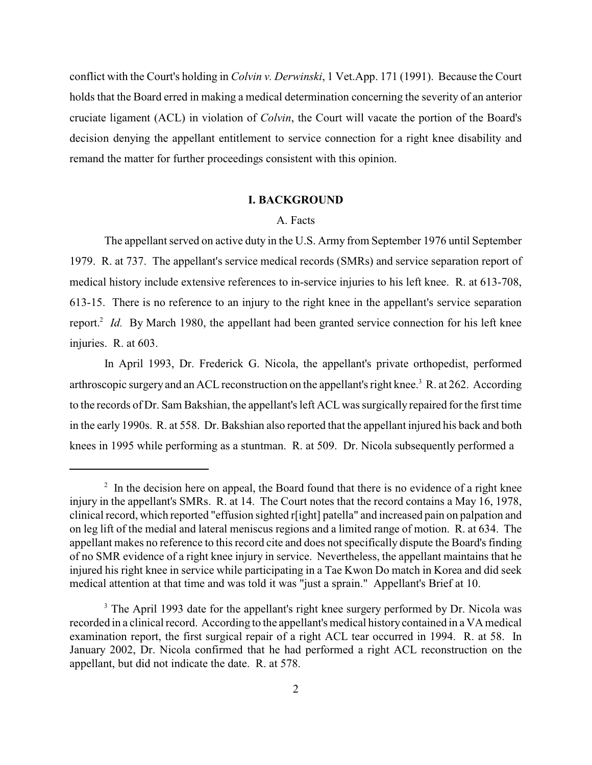conflict with the Court's holding in *Colvin v. Derwinski*, 1 Vet.App. 171 (1991). Because the Court holds that the Board erred in making a medical determination concerning the severity of an anterior cruciate ligament (ACL) in violation of *Colvin*, the Court will vacate the portion of the Board's decision denying the appellant entitlement to service connection for a right knee disability and remand the matter for further proceedings consistent with this opinion.

### **I. BACKGROUND**

### A. Facts

The appellant served on active duty in the U.S. Army from September 1976 until September 1979. R. at 737. The appellant's service medical records (SMRs) and service separation report of medical history include extensive references to in-service injuries to his left knee. R. at 613-708, 613-15. There is no reference to an injury to the right knee in the appellant's service separation report.<sup>2</sup> Id. By March 1980, the appellant had been granted service connection for his left knee injuries. R. at 603.

In April 1993, Dr. Frederick G. Nicola, the appellant's private orthopedist, performed arthroscopic surgery and an ACL reconstruction on the appellant's right knee.<sup>3</sup> R. at 262. According to the records of Dr. Sam Bakshian, the appellant's left ACL was surgically repaired for the first time in the early 1990s. R. at 558. Dr. Bakshian also reported that the appellant injured his back and both knees in 1995 while performing as a stuntman. R. at 509. Dr. Nicola subsequently performed a

 $\frac{1}{2}$  In the decision here on appeal, the Board found that there is no evidence of a right knee injury in the appellant's SMRs. R. at 14. The Court notes that the record contains a May 16, 1978, clinical record, which reported "effusion sighted r[ight] patella" and increased pain on palpation and on leg lift of the medial and lateral meniscus regions and a limited range of motion. R. at 634. The appellant makes no reference to this record cite and does not specifically dispute the Board's finding of no SMR evidence of a right knee injury in service. Nevertheless, the appellant maintains that he injured his right knee in service while participating in a Tae Kwon Do match in Korea and did seek medical attention at that time and was told it was "just a sprain." Appellant's Brief at 10.

<sup>&</sup>lt;sup>3</sup> The April 1993 date for the appellant's right knee surgery performed by Dr. Nicola was recorded in a clinical record. According to the appellant's medical history contained in a VA medical examination report, the first surgical repair of a right ACL tear occurred in 1994. R. at 58. In January 2002, Dr. Nicola confirmed that he had performed a right ACL reconstruction on the appellant, but did not indicate the date. R. at 578.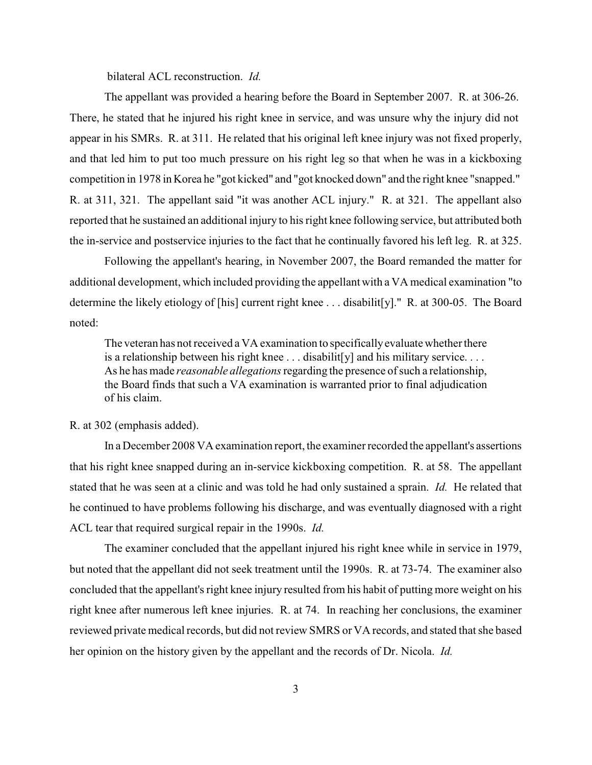bilateral ACL reconstruction. *Id.* 

The appellant was provided a hearing before the Board in September 2007. R. at 306-26. There, he stated that he injured his right knee in service, and was unsure why the injury did not appear in his SMRs. R. at 311. He related that his original left knee injury was not fixed properly, and that led him to put too much pressure on his right leg so that when he was in a kickboxing competition in 1978 in Korea he "got kicked" and "got knocked down" and the right knee "snapped." R. at 311, 321. The appellant said "it was another ACL injury." R. at 321. The appellant also reported that he sustained an additional injury to his right knee following service, but attributed both the in-service and postservice injuries to the fact that he continually favored his left leg. R. at 325.

Following the appellant's hearing, in November 2007, the Board remanded the matter for additional development, which included providing the appellant with a VA medical examination "to determine the likely etiology of [his] current right knee . . . disabilit[y]." R. at 300-05. The Board noted:

The veteran has not received a VA examination to specifically evaluate whether there is a relationship between his right knee . . . disabilit[y] and his military service. . . . As he has made *reasonable allegations*regarding the presence of such a relationship, the Board finds that such a VA examination is warranted prior to final adjudication of his claim.

### R. at 302 (emphasis added).

In a December 2008 VA examination report, the examiner recorded the appellant's assertions that his right knee snapped during an in-service kickboxing competition. R. at 58. The appellant stated that he was seen at a clinic and was told he had only sustained a sprain. *Id.* He related that he continued to have problems following his discharge, and was eventually diagnosed with a right ACL tear that required surgical repair in the 1990s. *Id.*

The examiner concluded that the appellant injured his right knee while in service in 1979, but noted that the appellant did not seek treatment until the 1990s. R. at 73-74. The examiner also concluded that the appellant's right knee injury resulted from his habit of putting more weight on his right knee after numerous left knee injuries. R. at 74. In reaching her conclusions, the examiner reviewed private medical records, but did not review SMRS or VA records, and stated that she based her opinion on the history given by the appellant and the records of Dr. Nicola. *Id.*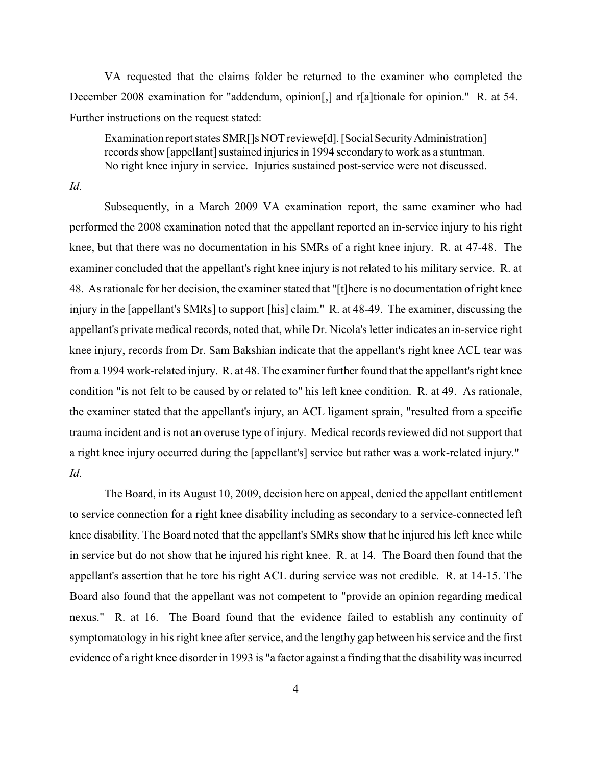VA requested that the claims folder be returned to the examiner who completed the December 2008 examination for "addendum, opinion[,] and r[a]tionale for opinion." R. at 54. Further instructions on the request stated:

Examination report states SMR[]s NOT reviewe[d]. [Social Security Administration] records show [appellant] sustained injuries in 1994 secondaryto work as a stuntman. No right knee injury in service. Injuries sustained post-service were not discussed.

*Id.* 

Subsequently, in a March 2009 VA examination report, the same examiner who had performed the 2008 examination noted that the appellant reported an in-service injury to his right knee, but that there was no documentation in his SMRs of a right knee injury. R. at 47-48. The examiner concluded that the appellant's right knee injury is not related to his military service. R. at 48. As rationale for her decision, the examiner stated that "[t]here is no documentation of right knee injury in the [appellant's SMRs] to support [his] claim." R. at 48-49. The examiner, discussing the appellant's private medical records, noted that, while Dr. Nicola's letter indicates an in-service right knee injury, records from Dr. Sam Bakshian indicate that the appellant's right knee ACL tear was from a 1994 work-related injury. R. at 48. The examiner further found that the appellant's right knee condition "is not felt to be caused by or related to" his left knee condition. R. at 49. As rationale, the examiner stated that the appellant's injury, an ACL ligament sprain, "resulted from a specific trauma incident and is not an overuse type of injury. Medical records reviewed did not support that a right knee injury occurred during the [appellant's] service but rather was a work-related injury." *Id*.

The Board, in its August 10, 2009, decision here on appeal, denied the appellant entitlement to service connection for a right knee disability including as secondary to a service-connected left knee disability. The Board noted that the appellant's SMRs show that he injured his left knee while in service but do not show that he injured his right knee. R. at 14. The Board then found that the appellant's assertion that he tore his right ACL during service was not credible. R. at 14-15. The Board also found that the appellant was not competent to "provide an opinion regarding medical nexus." R. at 16. The Board found that the evidence failed to establish any continuity of symptomatology in his right knee after service, and the lengthy gap between his service and the first evidence of a right knee disorder in 1993 is "a factor against a finding that the disability was incurred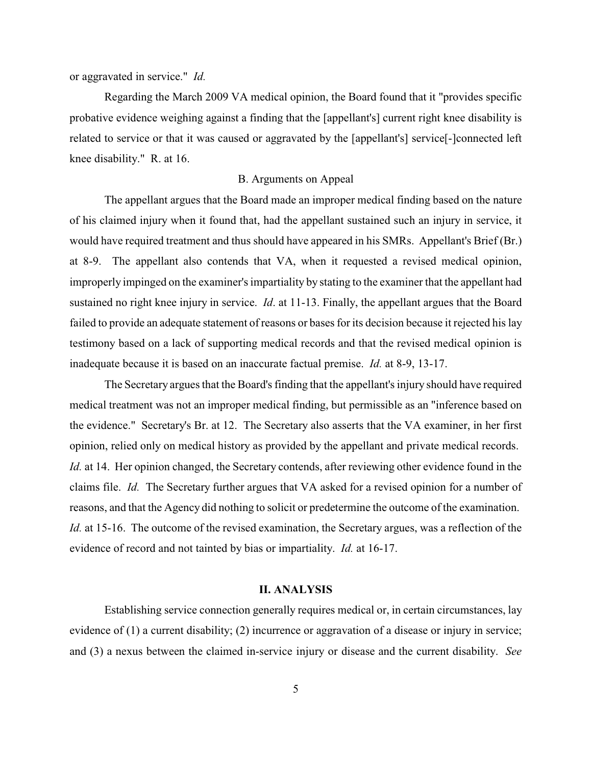or aggravated in service." *Id.* 

Regarding the March 2009 VA medical opinion, the Board found that it "provides specific probative evidence weighing against a finding that the [appellant's] current right knee disability is related to service or that it was caused or aggravated by the [appellant's] service[-]connected left knee disability." R. at 16.

#### B. Arguments on Appeal

The appellant argues that the Board made an improper medical finding based on the nature of his claimed injury when it found that, had the appellant sustained such an injury in service, it would have required treatment and thus should have appeared in his SMRs. Appellant's Brief (Br.) at 8-9. The appellant also contends that VA, when it requested a revised medical opinion, improperly impinged on the examiner's impartiality by stating to the examiner that the appellant had sustained no right knee injury in service. *Id*. at 11-13. Finally, the appellant argues that the Board failed to provide an adequate statement of reasons or bases for its decision because it rejected his lay testimony based on a lack of supporting medical records and that the revised medical opinion is inadequate because it is based on an inaccurate factual premise. *Id.* at 8-9, 13-17.

The Secretary argues that the Board's finding that the appellant's injury should have required medical treatment was not an improper medical finding, but permissible as an "inference based on the evidence." Secretary's Br. at 12. The Secretary also asserts that the VA examiner, in her first opinion, relied only on medical history as provided by the appellant and private medical records. *Id.* at 14. Her opinion changed, the Secretary contends, after reviewing other evidence found in the claims file. *Id.* The Secretary further argues that VA asked for a revised opinion for a number of reasons, and that the Agency did nothing to solicit or predetermine the outcome of the examination. *Id.* at 15-16. The outcome of the revised examination, the Secretary argues, was a reflection of the evidence of record and not tainted by bias or impartiality. *Id.* at 16-17.

# **II. ANALYSIS**

Establishing service connection generally requires medical or, in certain circumstances, lay evidence of (1) a current disability; (2) incurrence or aggravation of a disease or injury in service; and (3) a nexus between the claimed in-service injury or disease and the current disability. *See*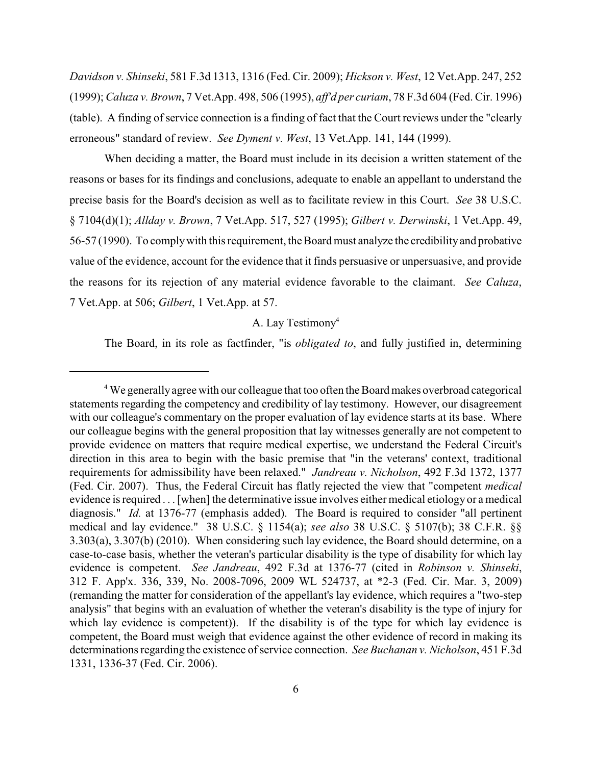*Davidson v. Shinseki*, 581 F.3d 1313, 1316 (Fed. Cir. 2009); *Hickson v. West*, 12 Vet.App. 247, 252 (1999); *Caluza v. Brown*, 7 Vet.App. 498, 506 (1995), *aff'd per curiam*, 78 F.3d 604 (Fed. Cir. 1996) (table). A finding of service connection is a finding of fact that the Court reviews under the "clearly erroneous" standard of review. *See Dyment v. West*, 13 Vet.App. 141, 144 (1999).

When deciding a matter, the Board must include in its decision a written statement of the reasons or bases for its findings and conclusions, adequate to enable an appellant to understand the precise basis for the Board's decision as well as to facilitate review in this Court. *See* 38 U.S.C. § 7104(d)(1); *Allday v. Brown*, 7 Vet.App. 517, 527 (1995); *Gilbert v. Derwinski*, 1 Vet.App. 49, 56-57 (1990). To complywith this requirement, the Board must analyze the credibilityand probative value of the evidence, account for the evidence that it finds persuasive or unpersuasive, and provide the reasons for its rejection of any material evidence favorable to the claimant. *See Caluza*, 7 Vet.App. at 506; *Gilbert*, 1 Vet.App. at 57.

## A. Lay Testimony<sup>4</sup>

The Board, in its role as factfinder, "is *obligated to*, and fully justified in, determining

<sup>&</sup>lt;sup>4</sup> We generally agree with our colleague that too often the Board makes overbroad categorical statements regarding the competency and credibility of lay testimony. However, our disagreement with our colleague's commentary on the proper evaluation of lay evidence starts at its base. Where our colleague begins with the general proposition that lay witnesses generally are not competent to provide evidence on matters that require medical expertise, we understand the Federal Circuit's direction in this area to begin with the basic premise that "in the veterans' context, traditional requirements for admissibility have been relaxed." *Jandreau v. Nicholson*, 492 F.3d 1372, 1377 (Fed. Cir. 2007). Thus, the Federal Circuit has flatly rejected the view that "competent *medical* evidence is required . . . [when] the determinative issue involves either medical etiology or a medical diagnosis." *Id.* at 1376-77 (emphasis added). The Board is required to consider "all pertinent medical and lay evidence." 38 U.S.C. § 1154(a); *see also* 38 U.S.C. § 5107(b); 38 C.F.R. §§ 3.303(a), 3.307(b) (2010). When considering such lay evidence, the Board should determine, on a case-to-case basis, whether the veteran's particular disability is the type of disability for which lay evidence is competent. *See Jandreau*, 492 F.3d at 1376-77 (cited in *Robinson v. Shinseki*, 312 F. App'x. 336, 339, No. 2008-7096, 2009 WL 524737, at \*2-3 (Fed. Cir. Mar. 3, 2009) (remanding the matter for consideration of the appellant's lay evidence, which requires a "two-step analysis" that begins with an evaluation of whether the veteran's disability is the type of injury for which lay evidence is competent). If the disability is of the type for which lay evidence is competent, the Board must weigh that evidence against the other evidence of record in making its determinations regarding the existence of service connection. *See Buchanan v. Nicholson*, 451 F.3d 1331, 1336-37 (Fed. Cir. 2006).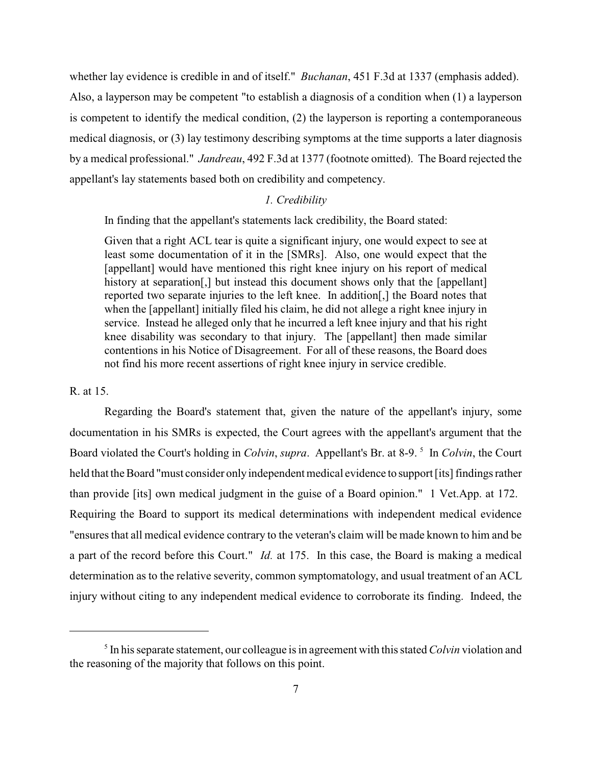whether lay evidence is credible in and of itself." *Buchanan*, 451 F.3d at 1337 (emphasis added). Also, a layperson may be competent "to establish a diagnosis of a condition when (1) a layperson is competent to identify the medical condition, (2) the layperson is reporting a contemporaneous medical diagnosis, or (3) lay testimony describing symptoms at the time supports a later diagnosis by a medical professional." *Jandreau*, 492 F.3d at 1377 (footnote omitted). The Board rejected the appellant's lay statements based both on credibility and competency.

## *1. Credibility*

In finding that the appellant's statements lack credibility, the Board stated:

Given that a right ACL tear is quite a significant injury, one would expect to see at least some documentation of it in the [SMRs]. Also, one would expect that the [appellant] would have mentioned this right knee injury on his report of medical history at separation<sup>[1]</sup>, but instead this document shows only that the [appellant] reported two separate injuries to the left knee. In addition[,] the Board notes that when the [appellant] initially filed his claim, he did not allege a right knee injury in service. Instead he alleged only that he incurred a left knee injury and that his right knee disability was secondary to that injury. The [appellant] then made similar contentions in his Notice of Disagreement. For all of these reasons, the Board does not find his more recent assertions of right knee injury in service credible.

## R. at 15.

Regarding the Board's statement that, given the nature of the appellant's injury, some documentation in his SMRs is expected, the Court agrees with the appellant's argument that the Board violated the Court's holding in *Colvin*, *supra*. Appellant's Br. at 8-9.<sup>5</sup> In *Colvin*, the Court held that the Board "must consider only independent medical evidence to support [its] findings rather than provide [its] own medical judgment in the guise of a Board opinion." 1 Vet.App. at 172. Requiring the Board to support its medical determinations with independent medical evidence "ensures that all medical evidence contrary to the veteran's claim will be made known to him and be a part of the record before this Court." *Id.* at 175. In this case, the Board is making a medical determination as to the relative severity, common symptomatology, and usual treatment of an ACL injury without citing to any independent medical evidence to corroborate its finding. Indeed, the

 $\delta$  In his separate statement, our colleague is in agreement with this stated *Colvin* violation and the reasoning of the majority that follows on this point.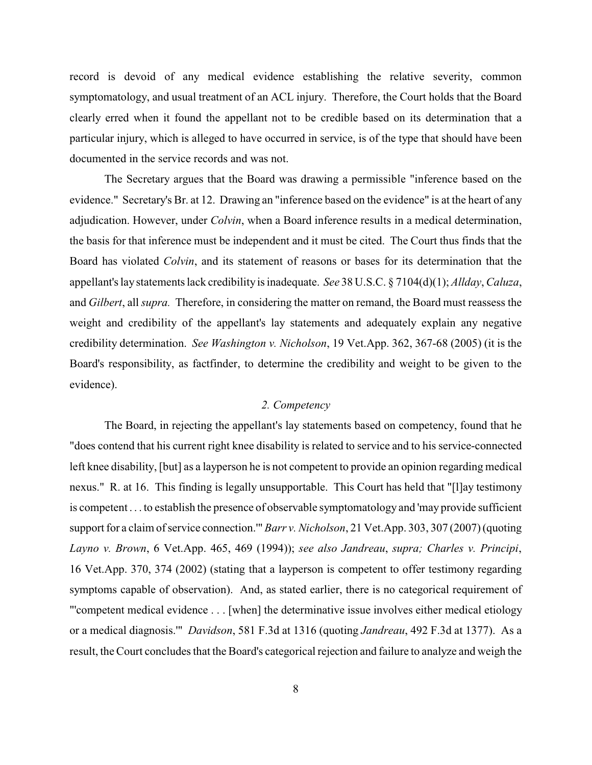record is devoid of any medical evidence establishing the relative severity, common symptomatology, and usual treatment of an ACL injury. Therefore, the Court holds that the Board clearly erred when it found the appellant not to be credible based on its determination that a particular injury, which is alleged to have occurred in service, is of the type that should have been documented in the service records and was not.

The Secretary argues that the Board was drawing a permissible "inference based on the evidence." Secretary's Br. at 12. Drawing an "inference based on the evidence" is at the heart of any adjudication. However, under *Colvin*, when a Board inference results in a medical determination, the basis for that inference must be independent and it must be cited. The Court thus finds that the Board has violated *Colvin*, and its statement of reasons or bases for its determination that the appellant's lay statements lack credibility is inadequate. *See* 38 U.S.C. § 7104(d)(1); *Allday*, *Caluza*, and *Gilbert*, all *supra.* Therefore, in considering the matter on remand, the Board must reassess the weight and credibility of the appellant's lay statements and adequately explain any negative credibility determination. *See Washington v. Nicholson*, 19 Vet.App. 362, 367-68 (2005) (it is the Board's responsibility, as factfinder, to determine the credibility and weight to be given to the evidence).

### *2. Competency*

The Board, in rejecting the appellant's lay statements based on competency, found that he "does contend that his current right knee disability is related to service and to his service-connected left knee disability, [but] as a layperson he is not competent to provide an opinion regarding medical nexus." R. at 16. This finding is legally unsupportable. This Court has held that "[l]ay testimony is competent . . . to establish the presence of observable symptomatology and 'may provide sufficient support for a claim of service connection.'" *Barr v. Nicholson*, 21 Vet.App. 303, 307 (2007) (quoting *Layno v. Brown*, 6 Vet.App. 465, 469 (1994)); *see also Jandreau*, *supra; Charles v. Principi*, 16 Vet.App. 370, 374 (2002) (stating that a layperson is competent to offer testimony regarding symptoms capable of observation). And, as stated earlier, there is no categorical requirement of "'competent medical evidence . . . [when] the determinative issue involves either medical etiology or a medical diagnosis.'" *Davidson*, 581 F.3d at 1316 (quoting *Jandreau*, 492 F.3d at 1377). As a result, the Court concludes that the Board's categorical rejection and failure to analyze and weigh the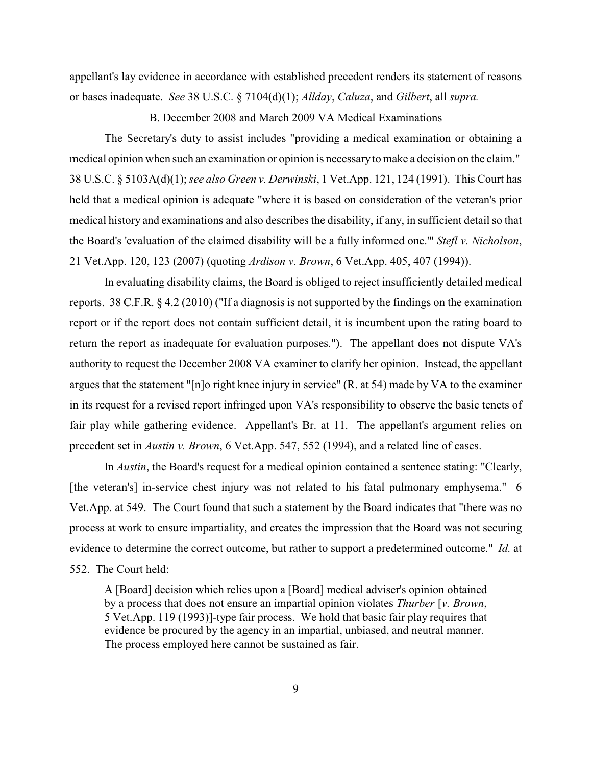appellant's lay evidence in accordance with established precedent renders its statement of reasons or bases inadequate. *See* 38 U.S.C. § 7104(d)(1); *Allday*, *Caluza*, and *Gilbert*, all *supra.* 

B. December 2008 and March 2009 VA Medical Examinations

The Secretary's duty to assist includes "providing a medical examination or obtaining a medical opinion when such an examination or opinion is necessaryto make a decision on the claim." 38 U.S.C. § 5103A(d)(1); *see also Green v. Derwinski*, 1 Vet.App. 121, 124 (1991). This Court has held that a medical opinion is adequate "where it is based on consideration of the veteran's prior medical history and examinations and also describes the disability, if any, in sufficient detail so that the Board's 'evaluation of the claimed disability will be a fully informed one.'" *Stefl v. Nicholson*, 21 Vet.App. 120, 123 (2007) (quoting *Ardison v. Brown*, 6 Vet.App. 405, 407 (1994)).

In evaluating disability claims, the Board is obliged to reject insufficiently detailed medical reports. 38 C.F.R. § 4.2 (2010) ("If a diagnosis is not supported by the findings on the examination report or if the report does not contain sufficient detail, it is incumbent upon the rating board to return the report as inadequate for evaluation purposes."). The appellant does not dispute VA's authority to request the December 2008 VA examiner to clarify her opinion. Instead, the appellant argues that the statement "[n]o right knee injury in service" (R. at 54) made by VA to the examiner in its request for a revised report infringed upon VA's responsibility to observe the basic tenets of fair play while gathering evidence. Appellant's Br. at 11. The appellant's argument relies on precedent set in *Austin v. Brown*, 6 Vet.App. 547, 552 (1994), and a related line of cases.

In *Austin*, the Board's request for a medical opinion contained a sentence stating: "Clearly, [the veteran's] in-service chest injury was not related to his fatal pulmonary emphysema." 6 Vet.App. at 549. The Court found that such a statement by the Board indicates that "there was no process at work to ensure impartiality, and creates the impression that the Board was not securing evidence to determine the correct outcome, but rather to support a predetermined outcome." *Id.* at 552. The Court held:

A [Board] decision which relies upon a [Board] medical adviser's opinion obtained by a process that does not ensure an impartial opinion violates *Thurber* [*v. Brown*, 5 Vet.App. 119 (1993)]-type fair process. We hold that basic fair play requires that evidence be procured by the agency in an impartial, unbiased, and neutral manner. The process employed here cannot be sustained as fair.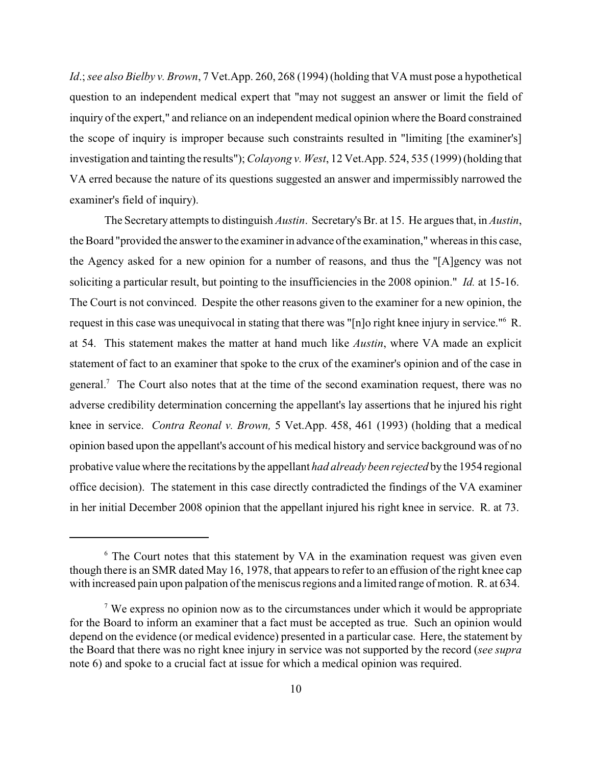*Id*.; *see also Bielby v. Brown*, 7 Vet.App. 260, 268 (1994) (holding that VA must pose a hypothetical question to an independent medical expert that "may not suggest an answer or limit the field of inquiry of the expert," and reliance on an independent medical opinion where the Board constrained the scope of inquiry is improper because such constraints resulted in "limiting [the examiner's] investigation and tainting the results"); *Colayong v. West*, 12 Vet.App. 524, 535 (1999) (holding that VA erred because the nature of its questions suggested an answer and impermissibly narrowed the examiner's field of inquiry).

The Secretary attempts to distinguish *Austin*. Secretary's Br. at 15. He argues that, in *Austin*, the Board "provided the answer to the examiner in advance of the examination," whereas in this case, the Agency asked for a new opinion for a number of reasons, and thus the "[A]gency was not soliciting a particular result, but pointing to the insufficiencies in the 2008 opinion." *Id.* at 15-16. The Court is not convinced. Despite the other reasons given to the examiner for a new opinion, the request in this case was unequivocal in stating that there was "[n]o right knee injury in service." R. at 54. This statement makes the matter at hand much like *Austin*, where VA made an explicit statement of fact to an examiner that spoke to the crux of the examiner's opinion and of the case in general.<sup>7</sup> The Court also notes that at the time of the second examination request, there was no adverse credibility determination concerning the appellant's lay assertions that he injured his right knee in service. *Contra Reonal v. Brown,* 5 Vet.App. 458, 461 (1993) (holding that a medical opinion based upon the appellant's account of his medical history and service background was of no probative value where the recitations by the appellant *had already been rejected* bythe 1954 regional office decision). The statement in this case directly contradicted the findings of the VA examiner in her initial December 2008 opinion that the appellant injured his right knee in service. R. at 73.

 $6$  The Court notes that this statement by VA in the examination request was given even though there is an SMR dated May 16, 1978, that appears to refer to an effusion of the right knee cap with increased pain upon palpation of the meniscus regions and a limited range of motion. R. at 634.

 $\alpha$ <sup>7</sup> We express no opinion now as to the circumstances under which it would be appropriate for the Board to inform an examiner that a fact must be accepted as true. Such an opinion would depend on the evidence (or medical evidence) presented in a particular case. Here, the statement by the Board that there was no right knee injury in service was not supported by the record (*see supra* note 6) and spoke to a crucial fact at issue for which a medical opinion was required.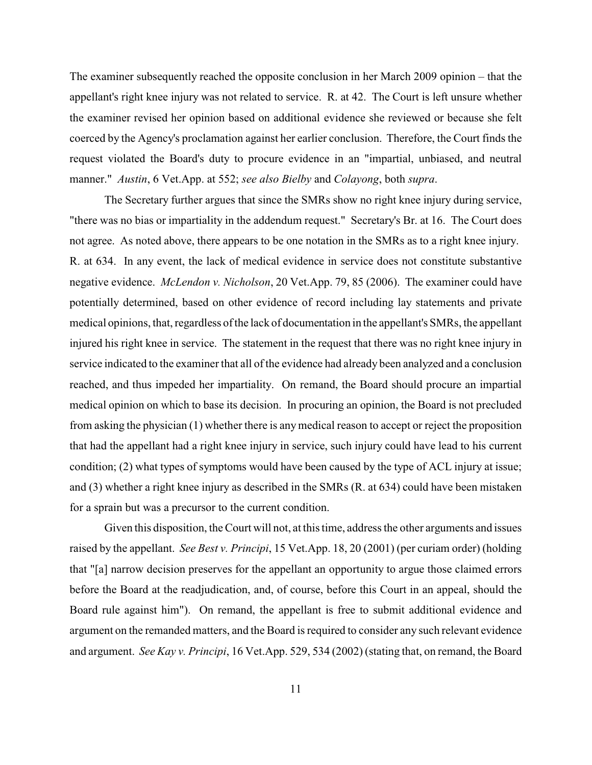The examiner subsequently reached the opposite conclusion in her March 2009 opinion – that the appellant's right knee injury was not related to service. R. at 42. The Court is left unsure whether the examiner revised her opinion based on additional evidence she reviewed or because she felt coerced by the Agency's proclamation against her earlier conclusion. Therefore, the Court finds the request violated the Board's duty to procure evidence in an "impartial, unbiased, and neutral manner." *Austin*, 6 Vet.App. at 552; *see also Bielby* and *Colayong*, both *supra*.

The Secretary further argues that since the SMRs show no right knee injury during service, "there was no bias or impartiality in the addendum request." Secretary's Br. at 16. The Court does not agree. As noted above, there appears to be one notation in the SMRs as to a right knee injury. R. at 634. In any event, the lack of medical evidence in service does not constitute substantive negative evidence. *McLendon v. Nicholson*, 20 Vet.App. 79, 85 (2006). The examiner could have potentially determined, based on other evidence of record including lay statements and private medical opinions, that, regardless of the lack of documentation in the appellant's SMRs, the appellant injured his right knee in service. The statement in the request that there was no right knee injury in service indicated to the examiner that all of the evidence had already been analyzed and a conclusion reached, and thus impeded her impartiality. On remand, the Board should procure an impartial medical opinion on which to base its decision. In procuring an opinion, the Board is not precluded from asking the physician (1) whether there is anymedical reason to accept or reject the proposition that had the appellant had a right knee injury in service, such injury could have lead to his current condition; (2) what types of symptoms would have been caused by the type of ACL injury at issue; and (3) whether a right knee injury as described in the SMRs (R. at 634) could have been mistaken for a sprain but was a precursor to the current condition.

Given this disposition, the Court will not, at this time, address the other arguments and issues raised by the appellant. *See Best v. Principi*, 15 Vet.App. 18, 20 (2001) (per curiam order) (holding that "[a] narrow decision preserves for the appellant an opportunity to argue those claimed errors before the Board at the readjudication, and, of course, before this Court in an appeal, should the Board rule against him"). On remand, the appellant is free to submit additional evidence and argument on the remanded matters, and the Board is required to consider any such relevant evidence and argument. *See Kay v. Principi*, 16 Vet.App. 529, 534 (2002) (stating that, on remand, the Board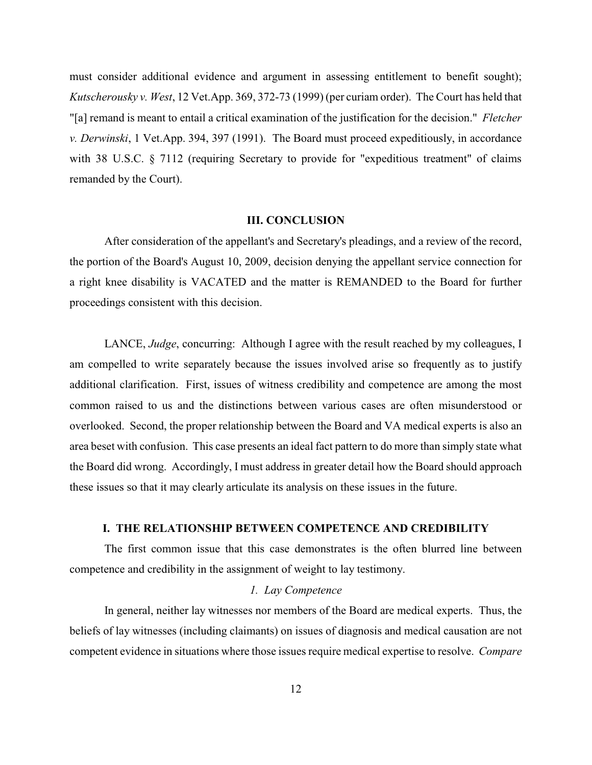must consider additional evidence and argument in assessing entitlement to benefit sought); *Kutscherousky v. West*, 12 Vet.App. 369, 372-73 (1999) (per curiam order). The Court has held that "[a] remand is meant to entail a critical examination of the justification for the decision." *Fletcher v. Derwinski*, 1 Vet.App. 394, 397 (1991). The Board must proceed expeditiously, in accordance with 38 U.S.C. § 7112 (requiring Secretary to provide for "expeditious treatment" of claims remanded by the Court).

#### **III. CONCLUSION**

After consideration of the appellant's and Secretary's pleadings, and a review of the record, the portion of the Board's August 10, 2009, decision denying the appellant service connection for a right knee disability is VACATED and the matter is REMANDED to the Board for further proceedings consistent with this decision.

LANCE, *Judge*, concurring: Although I agree with the result reached by my colleagues, I am compelled to write separately because the issues involved arise so frequently as to justify additional clarification. First, issues of witness credibility and competence are among the most common raised to us and the distinctions between various cases are often misunderstood or overlooked. Second, the proper relationship between the Board and VA medical experts is also an area beset with confusion. This case presents an ideal fact pattern to do more than simply state what the Board did wrong. Accordingly, I must address in greater detail how the Board should approach these issues so that it may clearly articulate its analysis on these issues in the future.

#### **I. THE RELATIONSHIP BETWEEN COMPETENCE AND CREDIBILITY**

The first common issue that this case demonstrates is the often blurred line between competence and credibility in the assignment of weight to lay testimony.

## *1. Lay Competence*

In general, neither lay witnesses nor members of the Board are medical experts. Thus, the beliefs of lay witnesses (including claimants) on issues of diagnosis and medical causation are not competent evidence in situations where those issues require medical expertise to resolve. *Compare*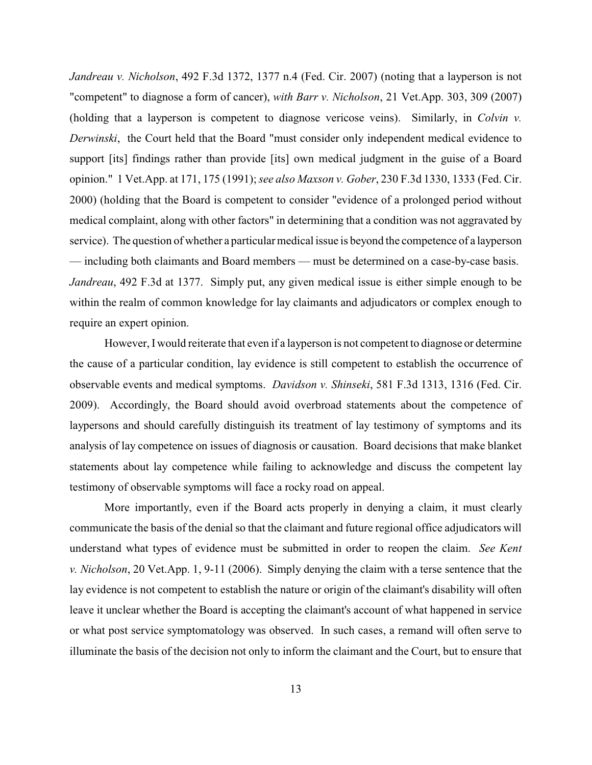*Jandreau v. Nicholson*, 492 F.3d 1372, 1377 n.4 (Fed. Cir. 2007) (noting that a layperson is not "competent" to diagnose a form of cancer), *with Barr v. Nicholson*, 21 Vet.App. 303, 309 (2007) (holding that a layperson is competent to diagnose vericose veins). Similarly, in *Colvin v. Derwinski*, the Court held that the Board "must consider only independent medical evidence to support [its] findings rather than provide [its] own medical judgment in the guise of a Board opinion." 1 Vet.App. at 171, 175 (1991); *see also Maxson v. Gober*, 230 F.3d 1330, 1333 (Fed. Cir. 2000) (holding that the Board is competent to consider "evidence of a prolonged period without medical complaint, along with other factors" in determining that a condition was not aggravated by service). The question of whether a particular medical issue is beyond the competence of a layperson — including both claimants and Board members — must be determined on a case-by-case basis. *Jandreau*, 492 F.3d at 1377. Simply put, any given medical issue is either simple enough to be within the realm of common knowledge for lay claimants and adjudicators or complex enough to require an expert opinion.

However, I would reiterate that even if a layperson is not competent to diagnose or determine the cause of a particular condition, lay evidence is still competent to establish the occurrence of observable events and medical symptoms. *Davidson v. Shinseki*, 581 F.3d 1313, 1316 (Fed. Cir. 2009). Accordingly, the Board should avoid overbroad statements about the competence of laypersons and should carefully distinguish its treatment of lay testimony of symptoms and its analysis of lay competence on issues of diagnosis or causation. Board decisions that make blanket statements about lay competence while failing to acknowledge and discuss the competent lay testimony of observable symptoms will face a rocky road on appeal.

More importantly, even if the Board acts properly in denying a claim, it must clearly communicate the basis of the denial so that the claimant and future regional office adjudicators will understand what types of evidence must be submitted in order to reopen the claim. *See Kent v. Nicholson*, 20 Vet.App. 1, 9-11 (2006). Simply denying the claim with a terse sentence that the lay evidence is not competent to establish the nature or origin of the claimant's disability will often leave it unclear whether the Board is accepting the claimant's account of what happened in service or what post service symptomatology was observed. In such cases, a remand will often serve to illuminate the basis of the decision not only to inform the claimant and the Court, but to ensure that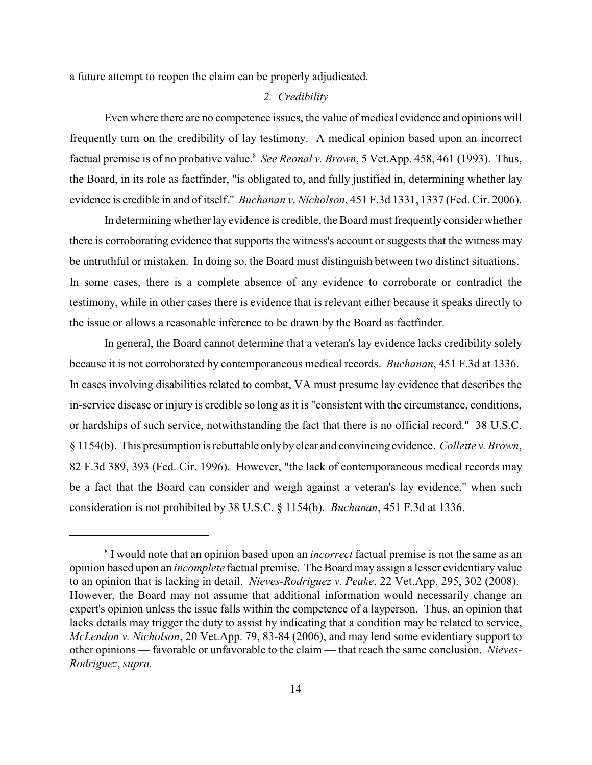a future attempt to reopen the claim can be properly adjudicated.

### *2. Credibility*

Even where there are no competence issues, the value of medical evidence and opinions will frequently turn on the credibility of lay testimony. A medical opinion based upon an incorrect factual premise is of no probative value.<sup>8</sup> See Reonal v. Brown, 5 Vet.App. 458, 461 (1993). Thus, the Board, in its role as factfinder, "is obligated to, and fully justified in, determining whether lay evidence is credible in and of itself." *Buchanan v. Nicholson*, 451 F.3d 1331, 1337 (Fed. Cir. 2006).

In determining whether lay evidence is credible, the Board must frequently consider whether there is corroborating evidence that supports the witness's account or suggests that the witness may be untruthful or mistaken. In doing so, the Board must distinguish between two distinct situations. In some cases, there is a complete absence of any evidence to corroborate or contradict the testimony, while in other cases there is evidence that is relevant either because it speaks directly to the issue or allows a reasonable inference to be drawn by the Board as factfinder.

In general, the Board cannot determine that a veteran's lay evidence lacks credibility solely because it is not corroborated by contemporaneous medical records. *Buchanan*, 451 F.3d at 1336. In cases involving disabilities related to combat, VA must presume lay evidence that describes the in-service disease or injury is credible so long as it is "consistent with the circumstance, conditions, or hardships of such service, notwithstanding the fact that there is no official record." 38 U.S.C. § 1154(b). This presumption is rebuttable only by clear and convincing evidence. *Collette v. Brown*, 82 F.3d 389, 393 (Fed. Cir. 1996). However, "the lack of contemporaneous medical records may be a fact that the Board can consider and weigh against a veteran's lay evidence," when such consideration is not prohibited by 38 U.S.C. § 1154(b). *Buchanan*, 451 F.3d at 1336.

<sup>&</sup>lt;sup>8</sup> I would note that an opinion based upon an *incorrect* factual premise is not the same as an opinion based upon an *incomplete* factual premise. The Board may assign a lesser evidentiary value to an opinion that is lacking in detail. *Nieves-Rodriguez v. Peake*, 22 Vet.App. 295, 302 (2008). However, the Board may not assume that additional information would necessarily change an expert's opinion unless the issue falls within the competence of a layperson. Thus, an opinion that lacks details may trigger the duty to assist by indicating that a condition may be related to service, *McLendon v. Nicholson*, 20 Vet.App. 79, 83-84 (2006), and may lend some evidentiary support to other opinions — favorable or unfavorable to the claim — that reach the same conclusion. *Nieves-Rodriguez*, *supra.*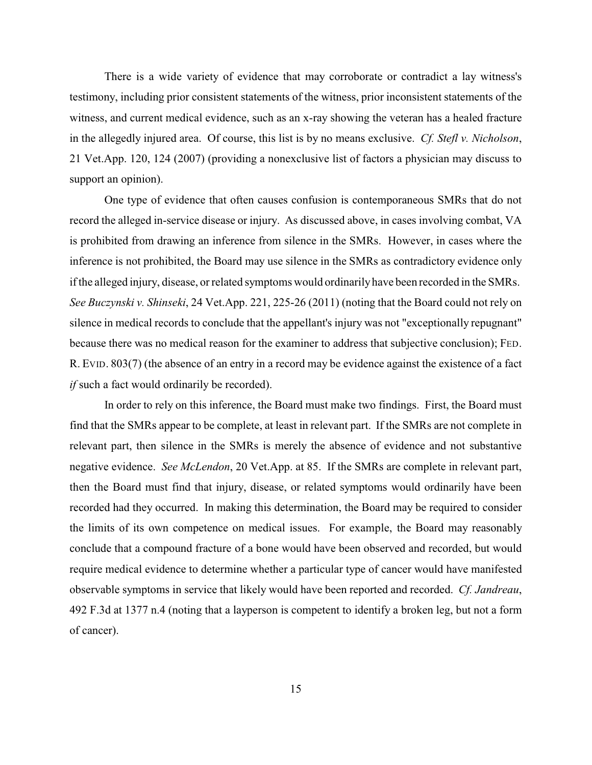There is a wide variety of evidence that may corroborate or contradict a lay witness's testimony, including prior consistent statements of the witness, prior inconsistent statements of the witness, and current medical evidence, such as an x-ray showing the veteran has a healed fracture in the allegedly injured area. Of course, this list is by no means exclusive. *Cf. Stefl v. Nicholson*, 21 Vet.App. 120, 124 (2007) (providing a nonexclusive list of factors a physician may discuss to support an opinion).

One type of evidence that often causes confusion is contemporaneous SMRs that do not record the alleged in-service disease or injury. As discussed above, in cases involving combat, VA is prohibited from drawing an inference from silence in the SMRs. However, in cases where the inference is not prohibited, the Board may use silence in the SMRs as contradictory evidence only if the alleged injury, disease, or related symptoms would ordinarilyhave been recorded in the SMRs. *See Buczynski v. Shinseki*, 24 Vet.App. 221, 225-26 (2011) (noting that the Board could not rely on silence in medical records to conclude that the appellant's injury was not "exceptionally repugnant" because there was no medical reason for the examiner to address that subjective conclusion); FED. R. EVID. 803(7) (the absence of an entry in a record may be evidence against the existence of a fact *if* such a fact would ordinarily be recorded).

In order to rely on this inference, the Board must make two findings. First, the Board must find that the SMRs appear to be complete, at least in relevant part. If the SMRs are not complete in relevant part, then silence in the SMRs is merely the absence of evidence and not substantive negative evidence. *See McLendon*, 20 Vet.App. at 85. If the SMRs are complete in relevant part, then the Board must find that injury, disease, or related symptoms would ordinarily have been recorded had they occurred. In making this determination, the Board may be required to consider the limits of its own competence on medical issues. For example, the Board may reasonably conclude that a compound fracture of a bone would have been observed and recorded, but would require medical evidence to determine whether a particular type of cancer would have manifested observable symptoms in service that likely would have been reported and recorded. *Cf. Jandreau*, 492 F.3d at 1377 n.4 (noting that a layperson is competent to identify a broken leg, but not a form of cancer).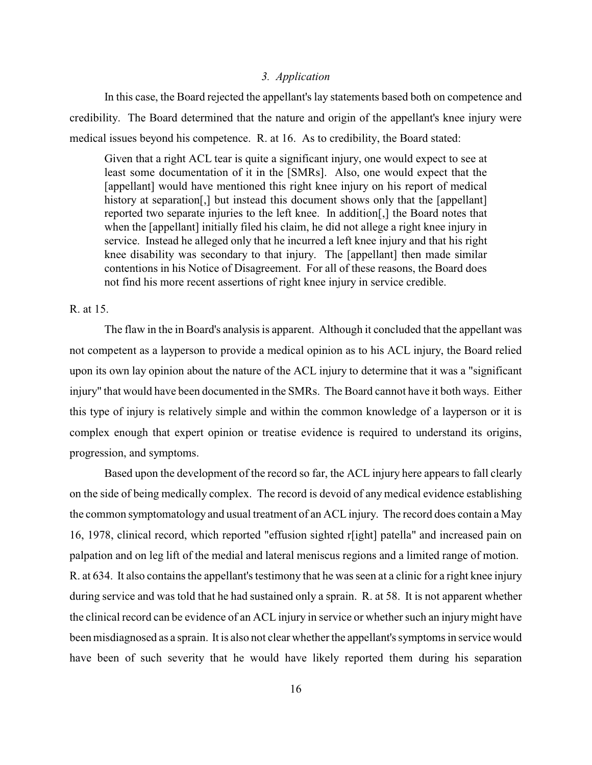### *3. Application*

In this case, the Board rejected the appellant's lay statements based both on competence and credibility. The Board determined that the nature and origin of the appellant's knee injury were medical issues beyond his competence. R. at 16. As to credibility, the Board stated:

Given that a right ACL tear is quite a significant injury, one would expect to see at least some documentation of it in the [SMRs]. Also, one would expect that the [appellant] would have mentioned this right knee injury on his report of medical history at separation[,] but instead this document shows only that the [appellant] reported two separate injuries to the left knee. In addition[,] the Board notes that when the [appellant] initially filed his claim, he did not allege a right knee injury in service. Instead he alleged only that he incurred a left knee injury and that his right knee disability was secondary to that injury. The [appellant] then made similar contentions in his Notice of Disagreement. For all of these reasons, the Board does not find his more recent assertions of right knee injury in service credible.

### R. at 15.

The flaw in the in Board's analysis is apparent. Although it concluded that the appellant was not competent as a layperson to provide a medical opinion as to his ACL injury, the Board relied upon its own lay opinion about the nature of the ACL injury to determine that it was a "significant injury" that would have been documented in the SMRs. The Board cannot have it both ways. Either this type of injury is relatively simple and within the common knowledge of a layperson or it is complex enough that expert opinion or treatise evidence is required to understand its origins, progression, and symptoms.

Based upon the development of the record so far, the ACL injury here appears to fall clearly on the side of being medically complex. The record is devoid of any medical evidence establishing the common symptomatology and usual treatment of an ACL injury. The record does contain a May 16, 1978, clinical record, which reported "effusion sighted r[ight] patella" and increased pain on palpation and on leg lift of the medial and lateral meniscus regions and a limited range of motion. R. at 634. It also contains the appellant's testimony that he was seen at a clinic for a right knee injury during service and was told that he had sustained only a sprain. R. at 58. It is not apparent whether the clinical record can be evidence of an ACL injury in service or whether such an injury might have been misdiagnosed as a sprain. It is also not clear whether the appellant's symptoms in service would have been of such severity that he would have likely reported them during his separation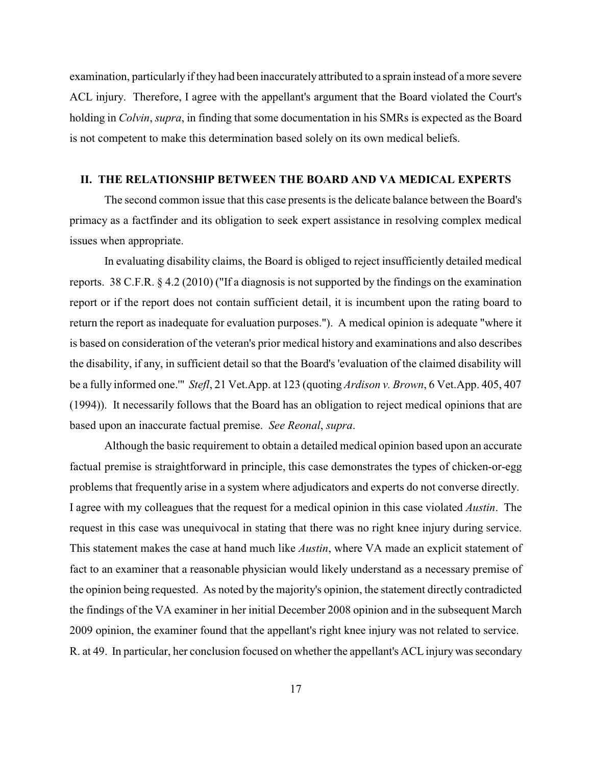examination, particularly if they had been inaccurately attributed to a sprain instead of a more severe ACL injury. Therefore, I agree with the appellant's argument that the Board violated the Court's holding in *Colvin*, *supra*, in finding that some documentation in his SMRs is expected as the Board is not competent to make this determination based solely on its own medical beliefs.

### **II. THE RELATIONSHIP BETWEEN THE BOARD AND VA MEDICAL EXPERTS**

The second common issue that this case presents is the delicate balance between the Board's primacy as a factfinder and its obligation to seek expert assistance in resolving complex medical issues when appropriate.

In evaluating disability claims, the Board is obliged to reject insufficiently detailed medical reports. 38 C.F.R. § 4.2 (2010) ("If a diagnosis is not supported by the findings on the examination report or if the report does not contain sufficient detail, it is incumbent upon the rating board to return the report as inadequate for evaluation purposes."). A medical opinion is adequate "where it is based on consideration of the veteran's prior medical history and examinations and also describes the disability, if any, in sufficient detail so that the Board's 'evaluation of the claimed disability will be a fully informed one.'" *Stefl*, 21 Vet.App. at 123 (quoting *Ardison v. Brown*, 6 Vet.App. 405, 407 (1994)). It necessarily follows that the Board has an obligation to reject medical opinions that are based upon an inaccurate factual premise. *See Reonal*, *supra*.

Although the basic requirement to obtain a detailed medical opinion based upon an accurate factual premise is straightforward in principle, this case demonstrates the types of chicken-or-egg problems that frequently arise in a system where adjudicators and experts do not converse directly. I agree with my colleagues that the request for a medical opinion in this case violated *Austin*. The request in this case was unequivocal in stating that there was no right knee injury during service. This statement makes the case at hand much like *Austin*, where VA made an explicit statement of fact to an examiner that a reasonable physician would likely understand as a necessary premise of the opinion being requested. As noted by the majority's opinion, the statement directly contradicted the findings of the VA examiner in her initial December 2008 opinion and in the subsequent March 2009 opinion, the examiner found that the appellant's right knee injury was not related to service. R. at 49. In particular, her conclusion focused on whether the appellant's ACL injury was secondary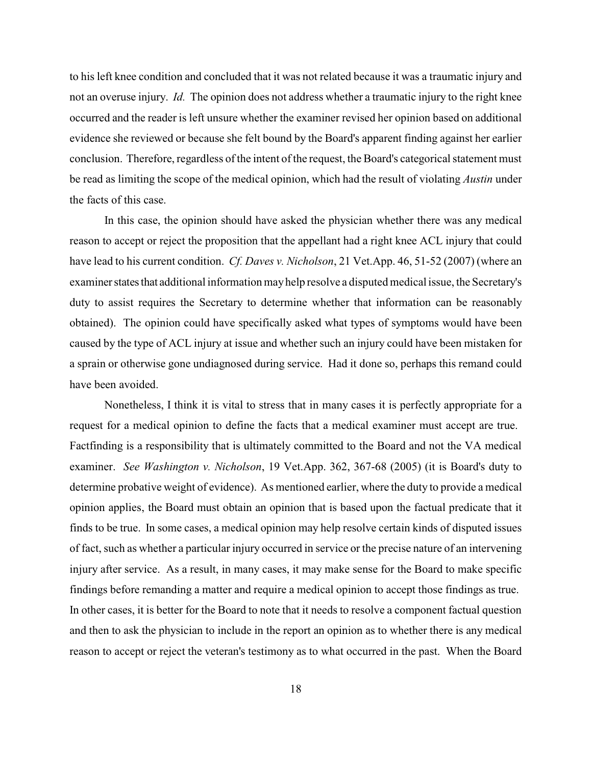to his left knee condition and concluded that it was not related because it was a traumatic injury and not an overuse injury. *Id.* The opinion does not address whether a traumatic injury to the right knee occurred and the reader is left unsure whether the examiner revised her opinion based on additional evidence she reviewed or because she felt bound by the Board's apparent finding against her earlier conclusion. Therefore, regardless of the intent of the request, the Board's categorical statement must be read as limiting the scope of the medical opinion, which had the result of violating *Austin* under the facts of this case.

In this case, the opinion should have asked the physician whether there was any medical reason to accept or reject the proposition that the appellant had a right knee ACL injury that could have lead to his current condition. *Cf. Daves v. Nicholson*, 21 Vet.App. 46, 51-52 (2007) (where an examiner states that additional information may help resolve a disputed medical issue, the Secretary's duty to assist requires the Secretary to determine whether that information can be reasonably obtained). The opinion could have specifically asked what types of symptoms would have been caused by the type of ACL injury at issue and whether such an injury could have been mistaken for a sprain or otherwise gone undiagnosed during service. Had it done so, perhaps this remand could have been avoided.

Nonetheless, I think it is vital to stress that in many cases it is perfectly appropriate for a request for a medical opinion to define the facts that a medical examiner must accept are true. Factfinding is a responsibility that is ultimately committed to the Board and not the VA medical examiner. *See Washington v. Nicholson*, 19 Vet.App. 362, 367-68 (2005) (it is Board's duty to determine probative weight of evidence). As mentioned earlier, where the duty to provide a medical opinion applies, the Board must obtain an opinion that is based upon the factual predicate that it finds to be true. In some cases, a medical opinion may help resolve certain kinds of disputed issues of fact, such as whether a particular injury occurred in service or the precise nature of an intervening injury after service. As a result, in many cases, it may make sense for the Board to make specific findings before remanding a matter and require a medical opinion to accept those findings as true. In other cases, it is better for the Board to note that it needs to resolve a component factual question and then to ask the physician to include in the report an opinion as to whether there is any medical reason to accept or reject the veteran's testimony as to what occurred in the past. When the Board